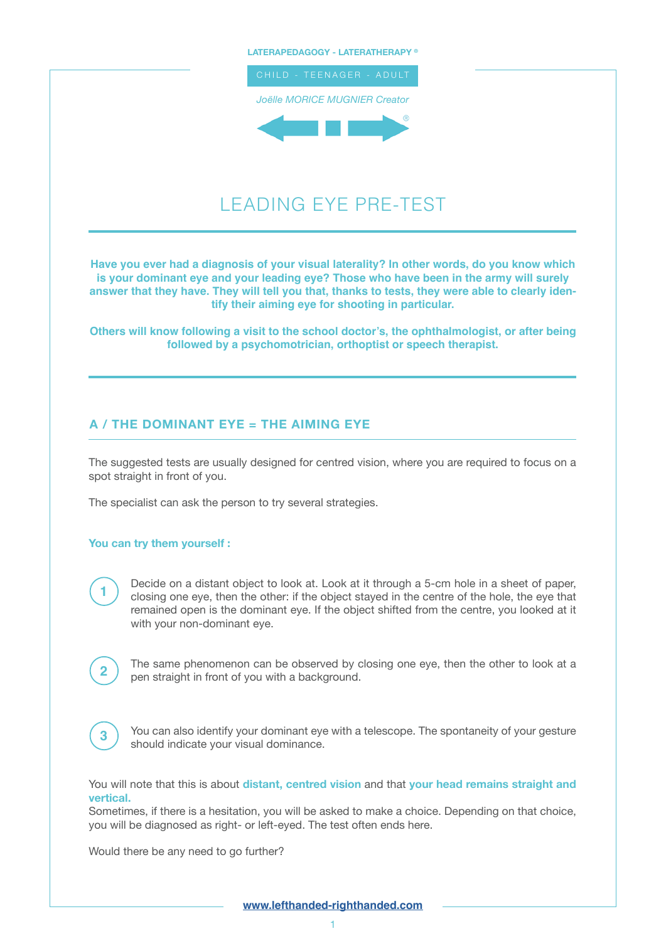#### **LATERAPEDAGOGY - LATERATHERAPY ®**



# LEADING EYE PRE-TEST

**Have you ever had a diagnosis of your visual laterality? In other words, do you know which is your dominant eye and your leading eye? Those who have been in the army will surely answer that they have. They will tell you that, thanks to tests, they were able to clearly identify their aiming eye for shooting in particular.**

**Others will know following a visit to the school doctor's, the ophthalmologist, or after being followed by a psychomotrician, orthoptist or speech therapist.**

## **A / THE DOMINANT EYE = THE AIMING EYE**

The suggested tests are usually designed for centred vision, where you are required to focus on a spot straight in front of you.

The specialist can ask the person to try several strategies.

### **You can try them yourself :**

Decide on a distant object to look at. Look at it through a 5-cm hole in a sheet of paper, closing one eye, then the other: if the object stayed in the centre of the hole, the eye that remained open is the dominant eye. If the object shifted from the centre, you looked at it with your non-dominant eye.

| . .<br>سر<br><b>STATISTICS</b><br>≊ | M. |
|-------------------------------------|----|
|                                     |    |
| e e                                 |    |
|                                     |    |

**1**

The same phenomenon can be observed by closing one eye, then the other to look at a pen straight in front of you with a background.



You can also identify your dominant eye with a telescope. The spontaneity of your gesture should indicate your visual dominance.

You will note that this is about **distant, centred vision** and that **your head remains straight and vertical.**

Sometimes, if there is a hesitation, you will be asked to make a choice. Depending on that choice, you will be diagnosed as right- or left-eyed. The test often ends here.

Would there be any need to go further?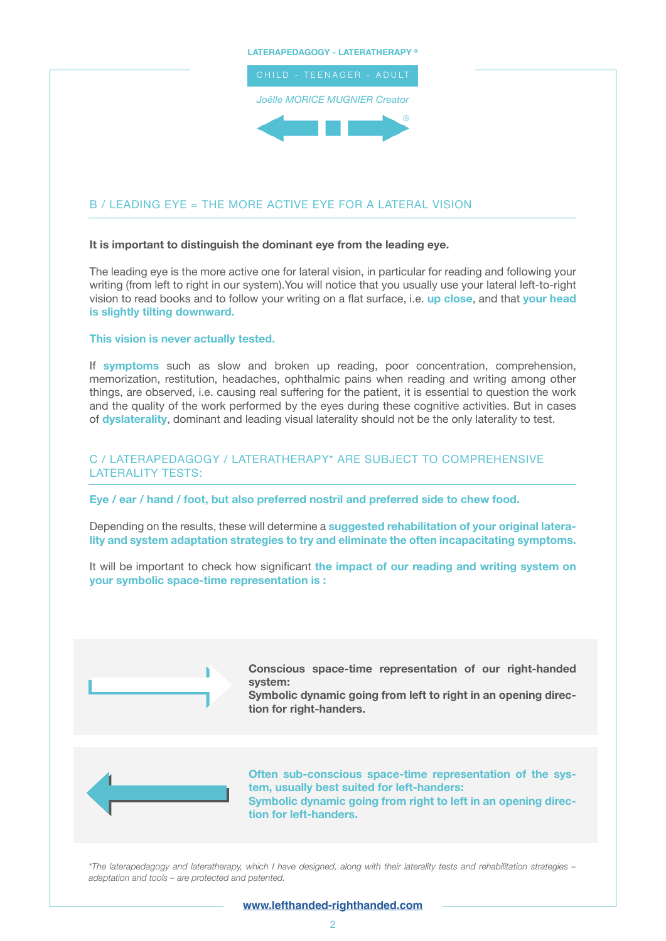#### **LATERAPEDAGOGY - LATERATHERAPY ®**



## B / LEADING EYE = THE MORE ACTIVE EYE FOR A LATERAL VISION

**It is important to distinguish the dominant eye from the leading eye.** 

The leading eye is the more active one for lateral vision, in particular for reading and following your writing (from left to right in our system).You will notice that you usually use your lateral left-to-right vision to read books and to follow your writing on a flat surface, i.e. **up close**, and that **your head is slightly tilting downward.**

#### **This vision is never actually tested.**

If **symptoms** such as slow and broken up reading, poor concentration, comprehension, memorization, restitution, headaches, ophthalmic pains when reading and writing among other things, are observed, i.e. causing real suffering for the patient, it is essential to question the work and the quality of the work performed by the eyes during these cognitive activities. But in cases of **dyslaterality**, dominant and leading visual laterality should not be the only laterality to test.

## C / LATERAPEDAGOGY / LATERATHERAPY\* ARE SUBJECT TO COMPREHENSIVE LATERALITY TESTS:

**Eye / ear / hand / foot, but also preferred nostril and preferred side to chew food.**

Depending on the results, these will determine a **suggested rehabilitation of your original laterality and system adaptation strategies to try and eliminate the often incapacitating symptoms.**

It will be important to check how significant **the impact of our reading and writing system on your symbolic space-time representation is :**



**Conscious space-time representation of our right-handed system:** 

**Symbolic dynamic going from left to right in an opening direction for right-handers.**



**Often sub-conscious space-time representation of the system, usually best suited for left-handers: Symbolic dynamic going from right to left in an opening direction for left-handers.**

*\*The laterapedagogy and lateratherapy, which I have designed, along with their laterality tests and rehabilitation strategies – adaptation and tools – are protected and patented.*

# **[www.lefthanded-righthanded.com](http://www.laterapedagogy-lateratherapy.com)**